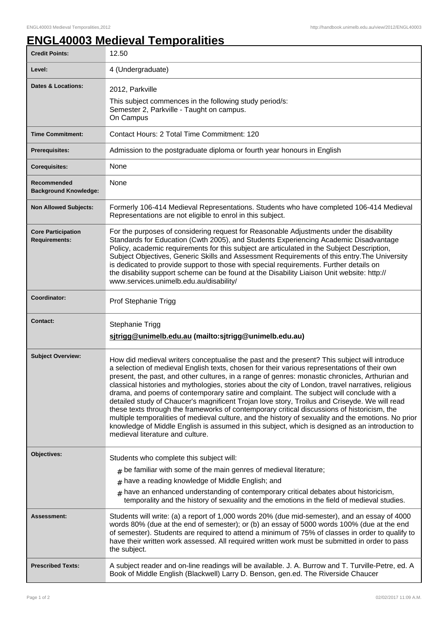## **ENGL40003 Medieval Temporalities**

| <b>Credit Points:</b>                             | 12.50                                                                                                                                                                                                                                                                                                                                                                                                                                                                                                                                                                                                                                                                                                                                                                                                                                                                                                                                           |
|---------------------------------------------------|-------------------------------------------------------------------------------------------------------------------------------------------------------------------------------------------------------------------------------------------------------------------------------------------------------------------------------------------------------------------------------------------------------------------------------------------------------------------------------------------------------------------------------------------------------------------------------------------------------------------------------------------------------------------------------------------------------------------------------------------------------------------------------------------------------------------------------------------------------------------------------------------------------------------------------------------------|
| Level:                                            | 4 (Undergraduate)                                                                                                                                                                                                                                                                                                                                                                                                                                                                                                                                                                                                                                                                                                                                                                                                                                                                                                                               |
| <b>Dates &amp; Locations:</b>                     | 2012, Parkville<br>This subject commences in the following study period/s:<br>Semester 2, Parkville - Taught on campus.<br>On Campus                                                                                                                                                                                                                                                                                                                                                                                                                                                                                                                                                                                                                                                                                                                                                                                                            |
| <b>Time Commitment:</b>                           | Contact Hours: 2 Total Time Commitment: 120                                                                                                                                                                                                                                                                                                                                                                                                                                                                                                                                                                                                                                                                                                                                                                                                                                                                                                     |
| <b>Prerequisites:</b>                             | Admission to the postgraduate diploma or fourth year honours in English                                                                                                                                                                                                                                                                                                                                                                                                                                                                                                                                                                                                                                                                                                                                                                                                                                                                         |
| <b>Corequisites:</b>                              | None                                                                                                                                                                                                                                                                                                                                                                                                                                                                                                                                                                                                                                                                                                                                                                                                                                                                                                                                            |
| Recommended<br><b>Background Knowledge:</b>       | None                                                                                                                                                                                                                                                                                                                                                                                                                                                                                                                                                                                                                                                                                                                                                                                                                                                                                                                                            |
| <b>Non Allowed Subjects:</b>                      | Formerly 106-414 Medieval Representations. Students who have completed 106-414 Medieval<br>Representations are not eligible to enrol in this subject.                                                                                                                                                                                                                                                                                                                                                                                                                                                                                                                                                                                                                                                                                                                                                                                           |
| <b>Core Participation</b><br><b>Requirements:</b> | For the purposes of considering request for Reasonable Adjustments under the disability<br>Standards for Education (Cwth 2005), and Students Experiencing Academic Disadvantage<br>Policy, academic requirements for this subject are articulated in the Subject Description,<br>Subject Objectives, Generic Skills and Assessment Requirements of this entry. The University<br>is dedicated to provide support to those with special requirements. Further details on<br>the disability support scheme can be found at the Disability Liaison Unit website: http://<br>www.services.unimelb.edu.au/disability/                                                                                                                                                                                                                                                                                                                                |
| Coordinator:                                      | Prof Stephanie Trigg                                                                                                                                                                                                                                                                                                                                                                                                                                                                                                                                                                                                                                                                                                                                                                                                                                                                                                                            |
|                                                   |                                                                                                                                                                                                                                                                                                                                                                                                                                                                                                                                                                                                                                                                                                                                                                                                                                                                                                                                                 |
| Contact:                                          | Stephanie Trigg<br>sitrigg@unimelb.edu.au (mailto:sjtrigg@unimelb.edu.au)                                                                                                                                                                                                                                                                                                                                                                                                                                                                                                                                                                                                                                                                                                                                                                                                                                                                       |
| <b>Subject Overview:</b>                          | How did medieval writers conceptualise the past and the present? This subject will introduce<br>a selection of medieval English texts, chosen for their various representations of their own<br>present, the past, and other cultures, in a range of genres: monastic chronicles, Arthurian and<br>classical histories and mythologies, stories about the city of London, travel narratives, religious<br>drama, and poems of contemporary satire and complaint. The subject will conclude with a<br>detailed study of Chaucer's magnificent Trojan love story, Troilus and Criseyde. We will read<br>these texts through the frameworks of contemporary critical discussions of historicism, the<br>multiple temporalities of medieval culture, and the history of sexuality and the emotions. No prior<br>knowledge of Middle English is assumed in this subject, which is designed as an introduction to<br>medieval literature and culture. |
| Objectives:                                       | Students who complete this subject will:                                                                                                                                                                                                                                                                                                                                                                                                                                                                                                                                                                                                                                                                                                                                                                                                                                                                                                        |
|                                                   | $#$ be familiar with some of the main genres of medieval literature;                                                                                                                                                                                                                                                                                                                                                                                                                                                                                                                                                                                                                                                                                                                                                                                                                                                                            |
|                                                   | have a reading knowledge of Middle English; and                                                                                                                                                                                                                                                                                                                                                                                                                                                                                                                                                                                                                                                                                                                                                                                                                                                                                                 |
|                                                   | have an enhanced understanding of contemporary critical debates about historicism,<br>#<br>temporality and the history of sexuality and the emotions in the field of medieval studies.                                                                                                                                                                                                                                                                                                                                                                                                                                                                                                                                                                                                                                                                                                                                                          |
| Assessment:                                       | Students will write: (a) a report of 1,000 words 20% (due mid-semester), and an essay of 4000<br>words 80% (due at the end of semester); or (b) an essay of 5000 words 100% (due at the end<br>of semester). Students are required to attend a minimum of 75% of classes in order to qualify to<br>have their written work assessed. All required written work must be submitted in order to pass<br>the subject.                                                                                                                                                                                                                                                                                                                                                                                                                                                                                                                               |